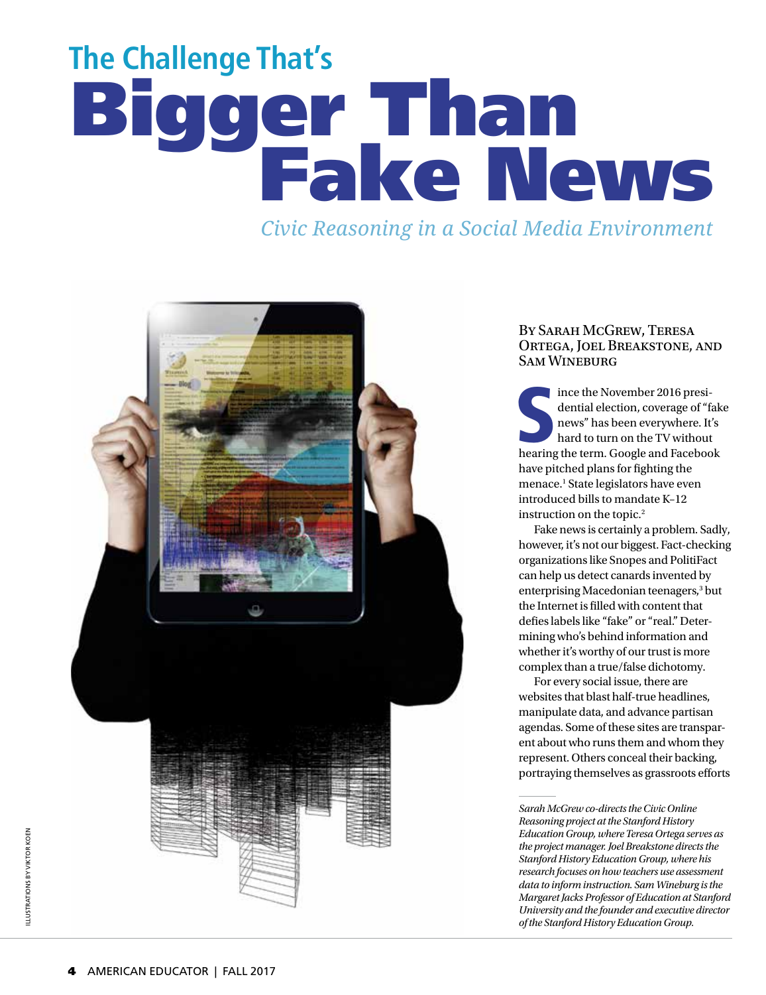# **The Challenge That's** Bigger Than Fake News

*Civic Reasoning in a Social Media Environment*



## By Sarah McGrew, Teresa Ortega, Joel Breakstone, and SAM WINEBURG

ince the November 2016 presidential election, coverage of "fakenews" has been everywhere. It's hard to turn on the TV without hearing the term. Google and Facebook ince the November 2016 presidential election, coverage of "fake news" has been everywhere. It's hard to turn on the TV without have pitched plans for fighting the menace.<sup>1</sup> State legislators have even introduced bills to mandate K–12 instruction on the topic.2

Fake news is certainly a problem. Sadly, however, it's not our biggest. Fact-checking organizations like Snopes and PolitiFact can help us detect canards invented by enterprising Macedonian teenagers,<sup>3</sup> but the Internet is filled with content that defies labels like "fake" or "real." Determining who's behind information and whether it's worthy of our trust is more complex than a true/false dichotomy.

For every social issue, there are websites that blast half-true headlines, manipulate data, and advance partisan agendas. Some of these sites are transparent about who runs them and whom they represent. Others conceal their backing, portraying themselves as grassroots efforts

*Sarah McGrew co-directs the Civic Online Reasoning project at the Stanford History Education Group, where Teresa Ortega serves as the project manager. Joel Breakstone directs the Stanford History Education Group, where his research focuses on how teachers use assessment data to inform instruction. Sam Wineburg is the Margaret Jacks Professor of Education at Stanford University and the founder and executive director of the Stanford History Education Group.*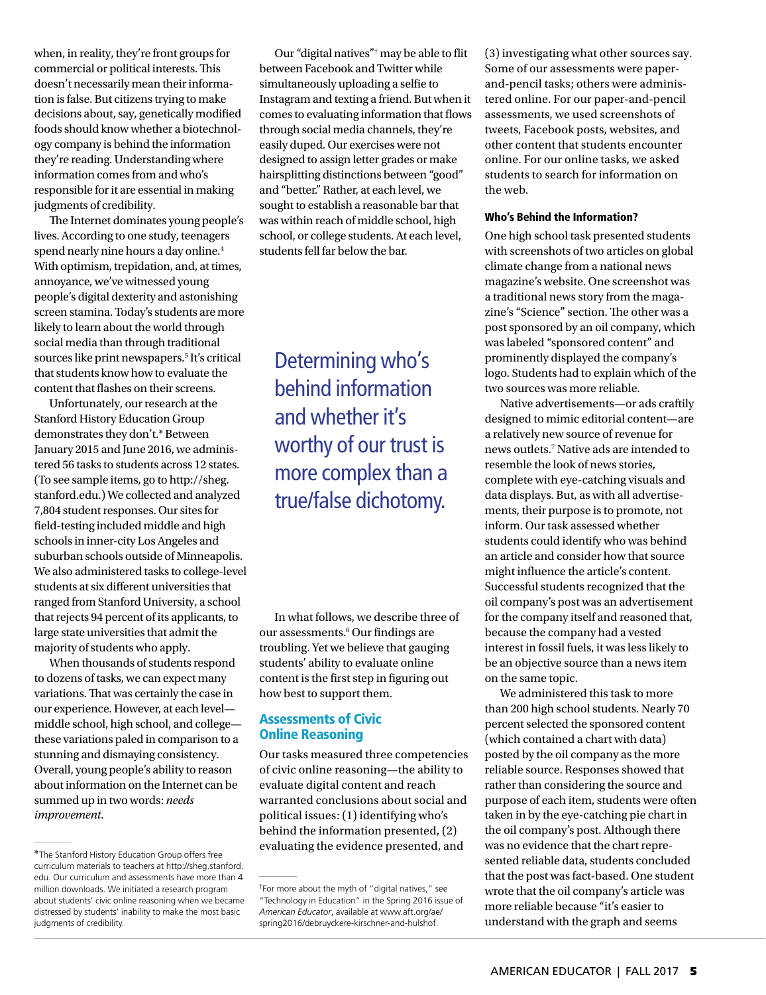when, in reality, they're front groups for commercial or political interests. This doesn't necessarily mean their information is false. But citizens trying to make decisions about, say, genetically modified foods should know whether a biotechnology company is behind the information they're reading. Understanding where information comes from and who's responsible for it are essential in making judgments of credibility.

The Internet dominates young people's lives. According to one study, teenagers spend nearly nine hours a day online.4 With optimism, trepidation, and, at times, annoyance, we've witnessed young people's digital dexterity and astonishing screen stamina. Today's students are more likely to learn about the world through social media than through traditional sources like print newspapers.5 It's critical that students know how to evaluate the content that flashes on their screens.

Unfortunately, our research at the Stanford History Education Group demonstrates they don't.\* Between January 2015 and June 2016, we administered 56 tasks to students across 12 states. (To see sample items, go to http://sheg. stanford.edu.) We collected and analyzed 7,804 student responses. Our sites for field-testing included middle and high schools in inner-city Los Angeles and suburban schools outside of Minneapolis. We also administered tasks to college-level students at six different universities that ranged from Stanford University, a school that rejects 94 percent of its applicants, to large state universities that admit the majority of students who apply.

When thousands of students respond to dozens of tasks, we can expect many variations. That was certainly the case in our experience. However, at each level middle school, high school, and college these variations paled in comparison to a stunning and dismaying consistency. Overall, young people's ability to reason about information on the Internet can be summed up in two words: *needs improvement*.

Our "digital natives"† may be able to flit between Facebook and Twitter while simultaneously uploading a selfie to Instagram and texting a friend. But when it comes to evaluating information that flows through social media channels, they're easily duped. Our exercises were not designed to assign letter grades or make hairsplitting distinctions between "good" and "better." Rather, at each level, we sought to establish a reasonable bar that was within reach of middle school, high school, or college students. At each level, students fell far below the bar.

Determining who's behind information and whether it's worthy of our trust is more complex than a true/false dichotomy.

In what follows, we describe three of our assessments.<sup>6</sup> Our findings are troubling. Yet we believe that gauging students' ability to evaluate online content is the first step in figuring out how best to support them.

## Assessments of Civic Online Reasoning

Our tasks measured three competencies of civic online reasoning—the ability to evaluate digital content and reach warranted conclusions about social and political issues: (1) identifying who's behind the information presented, (2) evaluating the evidence presented, and \*The Stanford History Education Group offers free

(3) investigating what other sources say. Some of our assessments were paperand-pencil tasks; others were administered online. For our paper-and-pencil assessments, we used screenshots of tweets, Facebook posts, websites, and other content that students encounter online. For our online tasks, we asked students to search for information on the web.

#### Who's Behind the Information?

One high school task presented students with screenshots of two articles on global climate change from a national news magazine's website. One screenshot was a traditional news story from the magazine's "Science" section. The other was a post sponsored by an oil company, which was labeled "sponsored content" and prominently displayed the company's logo. Students had to explain which of the two sources was more reliable.

Native advertisements—or ads craftily designed to mimic editorial content—are a relatively new source of revenue for news outlets.7 Native ads are intended to resemble the look of news stories, complete with eye-catching visuals and data displays. But, as with all advertisements, their purpose is to promote, not inform. Our task assessed whether students could identify who was behind an article and consider how that source might influence the article's content. Successful students recognized that the oil company's post was an advertisement for the company itself and reasoned that, because the company had a vested interest in fossil fuels, it was less likely to be an objective source than a news item on the same topic.

We administered this task to more than 200 high school students. Nearly 70 percent selected the sponsored content (which contained a chart with data) posted by the oil company as the more reliable source. Responses showed that rather than considering the source and purpose of each item, students were often taken in by the eye-catching pie chart in the oil company's post. Although there was no evidence that the chart represented reliable data, students concluded that the post was fact-based. One student wrote that the oil company's article was more reliable because "it's easier to understand with the graph and seems

curriculum materials to teachers at http://sheg.stanford. edu. Our curriculum and assessments have more than 4 million downloads. We initiated a research program about students' civic online reasoning when we became distressed by students' inability to make the most basic judgments of credibility.

<sup>†</sup> For more about the myth of "digital natives," see "Technology in Education" in the Spring 2016 issue of *American Educator*, available at www.aft.org/ae/ spring2016/debruyckere-kirschner-and-hulshof.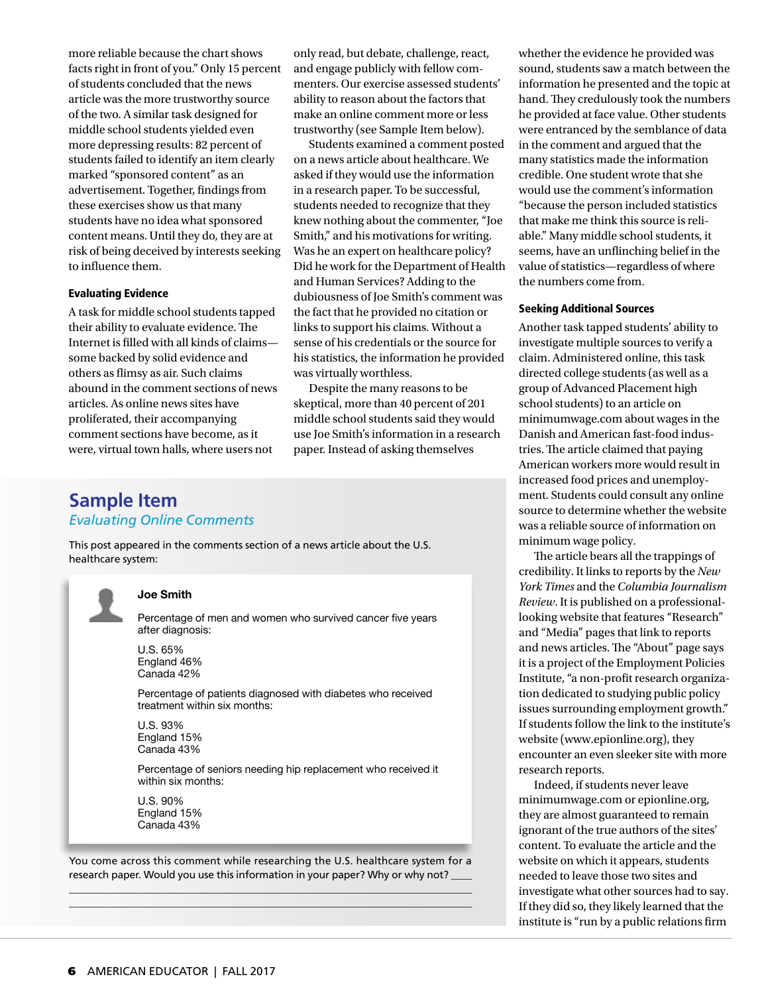more reliable because the chart shows facts right in front of you." Only 15 percent of students concluded that the news article was the more trustworthy source of the two. A similar task designed for middle school students yielded even more depressing results: 82 percent of students failed to identify an item clearly marked "sponsored content" as an advertisement. Together, findings from these exercises show us that many students have no idea what sponsored content means. Until they do, they are at risk of being deceived by interests seeking to influence them.

#### Evaluating Evidence

A task for middle school students tapped their ability to evaluate evidence. The Internet is filled with all kinds of claims some backed by solid evidence and others as flimsy as air. Such claims abound in the comment sections of news articles. As online news sites have proliferated, their accompanying comment sections have become, as it were, virtual town halls, where users not

only read, but debate, challenge, react, and engage publicly with fellow commenters. Our exercise assessed students' ability to reason about the factors that make an online comment more or less trustworthy (see Sample Item below).

Students examined a comment posted on a news article about healthcare. We asked if they would use the information in a research paper. To be successful, students needed to recognize that they knew nothing about the commenter, "Joe Smith," and his motivations for writing. Was he an expert on healthcare policy? Did he work for the Department of Health and Human Services? Adding to the dubiousness of Joe Smith's comment was the fact that he provided no citation or links to support his claims. Without a sense of his credentials or the source for his statistics, the information he provided was virtually worthless.

Despite the many reasons to be skeptical, more than 40 percent of 201 middle school students said they would use Joe Smith's information in a research paper. Instead of asking themselves

# **Sample Item** *Evaluating Online Comments*

This post appeared in the comments section of a news article about the U.S. healthcare system:



#### **Joe Smith**

Percentage of men and women who survived cancer five years after diagnosis:

U.S. 65% England 46% Canada 42%

Percentage of patients diagnosed with diabetes who received treatment within six months:

U.S. 93% England 15% Canada 43%

Percentage of seniors needing hip replacement who received it within six months:

U.S. 90% England 15% Canada 43%

You come across this comment while researching the U.S. healthcare system for a research paper. Would you use this information in your paper? Why or why not? \_\_\_\_\_\_\_\_\_\_\_\_\_\_\_\_\_\_\_\_\_\_\_\_\_\_\_\_\_\_\_\_\_\_\_\_\_\_\_\_\_\_\_\_\_\_\_\_\_\_\_\_\_\_\_\_\_\_\_\_\_\_\_\_\_\_\_\_\_\_\_\_\_\_\_\_\_\_

\_\_\_\_\_\_\_\_\_\_\_\_\_\_\_\_\_\_\_\_\_\_\_\_\_\_\_\_\_\_\_\_\_\_\_\_\_\_\_\_\_\_\_\_\_\_\_\_\_\_\_\_\_\_\_\_\_\_\_\_\_\_\_\_\_\_\_\_\_\_\_\_\_\_\_\_\_\_

whether the evidence he provided was sound, students saw a match between the information he presented and the topic at hand. They credulously took the numbers he provided at face value. Other students were entranced by the semblance of data in the comment and argued that the many statistics made the information credible. One student wrote that she would use the comment's information "because the person included statistics that make me think this source is reliable." Many middle school students, it seems, have an unflinching belief in the value of statistics—regardless of where the numbers come from.

#### Seeking Additional Sources

Another task tapped students' ability to investigate multiple sources to verify a claim. Administered online, this task directed college students (as well as a group of Advanced Placement high school students) to an article on minimumwage.com about wages in the Danish and American fast-food industries. The article claimed that paying American workers more would result in increased food prices and unemployment. Students could consult any online source to determine whether the website was a reliable source of information on minimum wage policy.

The article bears all the trappings of credibility. It links to reports by the *New York Times* and the *Columbia Journalism Review*. It is published on a professionallooking website that features "Research" and "Media" pages that link to reports and news articles. The "About" page says it is a project of the Employment Policies Institute, "a non-profit research organization dedicated to studying public policy issues surrounding employment growth." If students follow the link to the institute's website (www.epionline.org), they encounter an even sleeker site with more research reports.

Indeed, if students never leave minimumwage.com or epionline.org, they are almost guaranteed to remain ignorant of the true authors of the sites' content. To evaluate the article and the website on which it appears, students needed to leave those two sites and investigate what other sources had to say. If they did so, they likely learned that the institute is "run by a public relations firm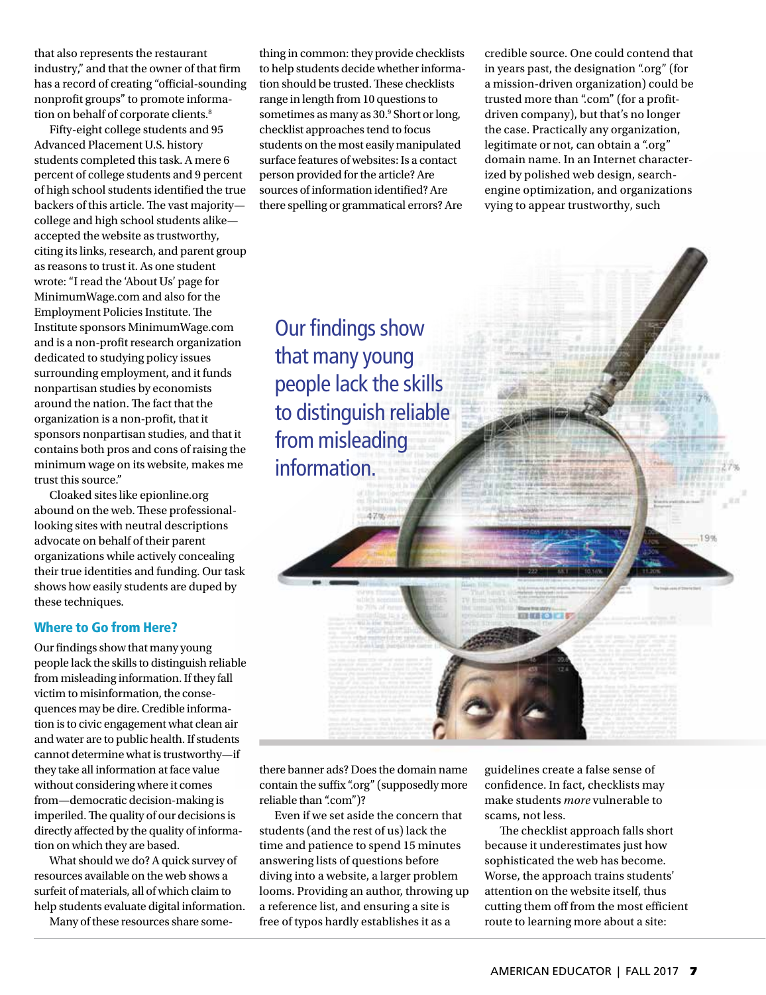that also represents the restaurant industry," and that the owner of that firm has a record of creating "official-sounding nonprofit groups" to promote information on behalf of corporate clients.<sup>8</sup>

Fifty-eight college students and 95 Advanced Placement U.S. history students completed this task. A mere 6 percent of college students and 9 percent of high school students identified the true backers of this article. The vast majority college and high school students alike accepted the website as trustworthy, citing its links, research, and parent group as reasons to trust it. As one student wrote: "I read the 'About Us' page for MinimumWage.com and also for the Employment Policies Institute. The Institute sponsors MinimumWage.com and is a non-profit research organization dedicated to studying policy issues surrounding employment, and it funds nonpartisan studies by economists around the nation. The fact that the organization is a non-profit, that it sponsors nonpartisan studies, and that it contains both pros and cons of raising the minimum wage on its website, makes me trust this source."

Cloaked sites like epionline.org abound on the web. These professionallooking sites with neutral descriptions advocate on behalf of their parent organizations while actively concealing their true identities and funding. Our task shows how easily students are duped by these techniques.

#### Where to Go from Here?

Our findings show that many young people lack the skills to distinguish reliable from misleading information. If they fall victim to misinformation, the consequences may be dire. Credible information is to civic engagement what clean air and water are to public health. If students cannot determine what is trustworthy—if they take all information at face value without considering where it comes from—democratic decision-making is imperiled. The quality of our decisions is directly affected by the quality of information on which they are based.

What should we do? A quick survey of resources available on the web shows a surfeit of materials, all of which claim to help students evaluate digital information.

Many of these resources share some-

thing in common: they provide checklists to help students decide whether information should be trusted. These checklists range in length from 10 questions to sometimes as many as 30.<sup>9</sup> Short or long, checklist approaches tend to focus students on the most easily manipulated surface features of websites: Is a contact person provided for the article? Are sources of information identified? Are there spelling or grammatical errors? Are

credible source. One could contend that in years past, the designation ".org" (for a mission-driven organization) could be trusted more than ".com" (for a profitdriven company), but that's no longer the case. Practically any organization, legitimate or not, can obtain a ".org" domain name. In an Internet characterized by polished web design, searchengine optimization, and organizations vying to appear trustworthy, such

Our findings show that many young people lack the skills to distinguish reliable from misleading information.

 $4.70$ 

there banner ads? Does the domain name contain the suffix ".org" (supposedly more reliable than ".com")?

Even if we set aside the concern that students (and the rest of us) lack the time and patience to spend 15 minutes answering lists of questions before diving into a website, a larger problem looms. Providing an author, throwing up a reference list, and ensuring a site is free of typos hardly establishes it as a

guidelines create a false sense of confidence. In fact, checklists may make students *more* vulnerable to scams, not less.

**DEBRETO ETA** 

1 Qot

The checklist approach falls short because it underestimates just how sophisticated the web has become. Worse, the approach trains students' attention on the website itself, thus cutting them off from the most efficient route to learning more about a site: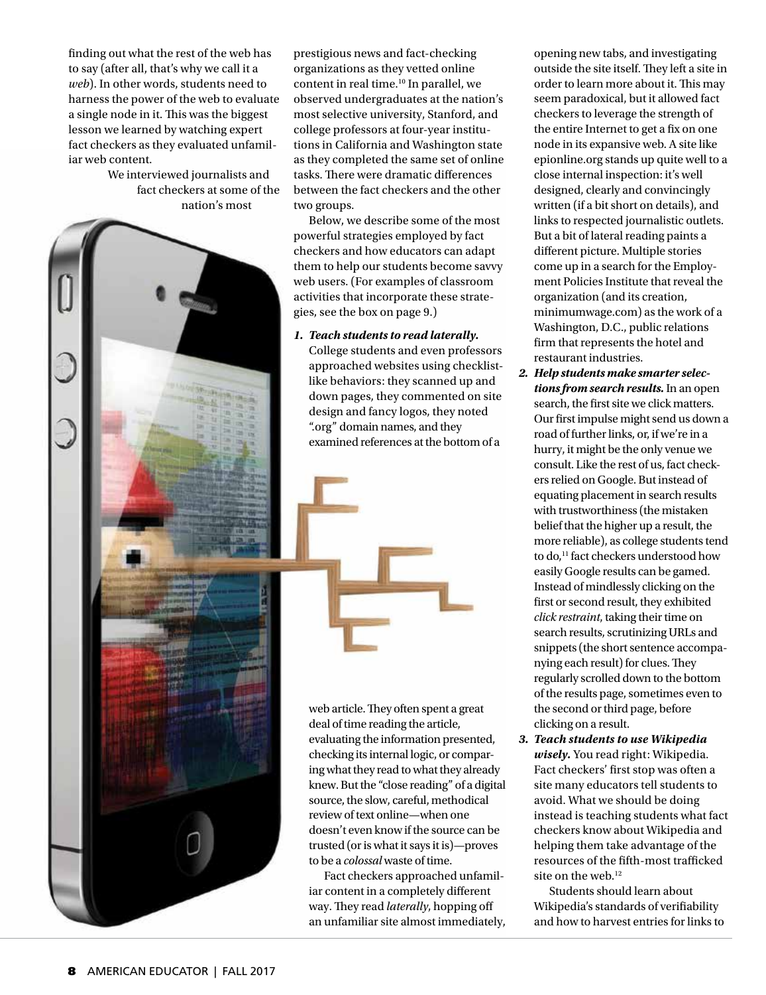finding out what the rest of the web has to say (after all, that's why we call it a *web*). In other words, students need to harness the power of the web to evaluate a single node in it. This was the biggest lesson we learned by watching expert fact checkers as they evaluated unfamiliar web content.

> We interviewed journalists and fact checkers at some of the nation's most

prestigious news and fact-checking organizations as they vetted online content in real time.10 In parallel, we observed undergraduates at the nation's most selective university, Stanford, and college professors at four-year institutions in California and Washington state as they completed the same set of online tasks. There were dramatic differences between the fact checkers and the other two groups.

Below, we describe some of the most powerful strategies employed by fact checkers and how educators can adapt them to help our students become savvy web users. (For examples of classroom activities that incorporate these strategies, see the box on page 9.)

#### *1. Teach students to read laterally.*

College students and even professors approached websites using checklistlike behaviors: they scanned up and down pages, they commented on site design and fancy logos, they noted ".org" domain names, and they examined references at the bottom of a



web article. They often spent a great deal of time reading the article, evaluating the information presented, checking its internal logic, or comparing what they read to what they already knew. But the "close reading" of a digital source, the slow, careful, methodical review of text online—when one doesn't even know if the source can be trusted (or is what it says it is)—proves to be a *colossal* waste of time.

Fact checkers approached unfamiliar content in a completely different way. They read *laterally*, hopping off an unfamiliar site almost immediately, opening new tabs, and investigating outside the site itself. They left a site in order to learn more about it. This may seem paradoxical, but it allowed fact checkers to leverage the strength of the entire Internet to get a fix on one node in its expansive web. A site like epionline.org stands up quite well to a close internal inspection: it's well designed, clearly and convincingly written (if a bit short on details), and links to respected journalistic outlets. But a bit of lateral reading paints a different picture. Multiple stories come up in a search for the Employment Policies Institute that reveal the organization (and its creation, minimumwage.com) as the work of a Washington, D.C., public relations firm that represents the hotel and restaurant industries.

- *2. Help students make smarter selections from search results.* In an open search, the first site we click matters. Our first impulse might send us down a road of further links, or, if we're in a hurry, it might be the only venue we consult. Like the rest of us, fact checkers relied on Google. But instead of equating placement in search results with trustworthiness (the mistaken belief that the higher up a result, the more reliable), as college students tend to do,<sup>11</sup> fact checkers understood how easily Google results can be gamed. Instead of mindlessly clicking on the first or second result, they exhibited *click restraint*, taking their time on search results, scrutinizing URLs and snippets (the short sentence accompanying each result) for clues. They regularly scrolled down to the bottom of the results page, sometimes even to the second or third page, before clicking on a result.
- *3. Teach students to use Wikipedia wisely.* You read right: Wikipedia. Fact checkers' first stop was often a site many educators tell students to avoid. What we should be doing instead is teaching students what fact checkers know about Wikipedia and helping them take advantage of the resources of the fifth-most trafficked site on the web.<sup>12</sup>

Students should learn about Wikipedia's standards of verifiability and how to harvest entries for links to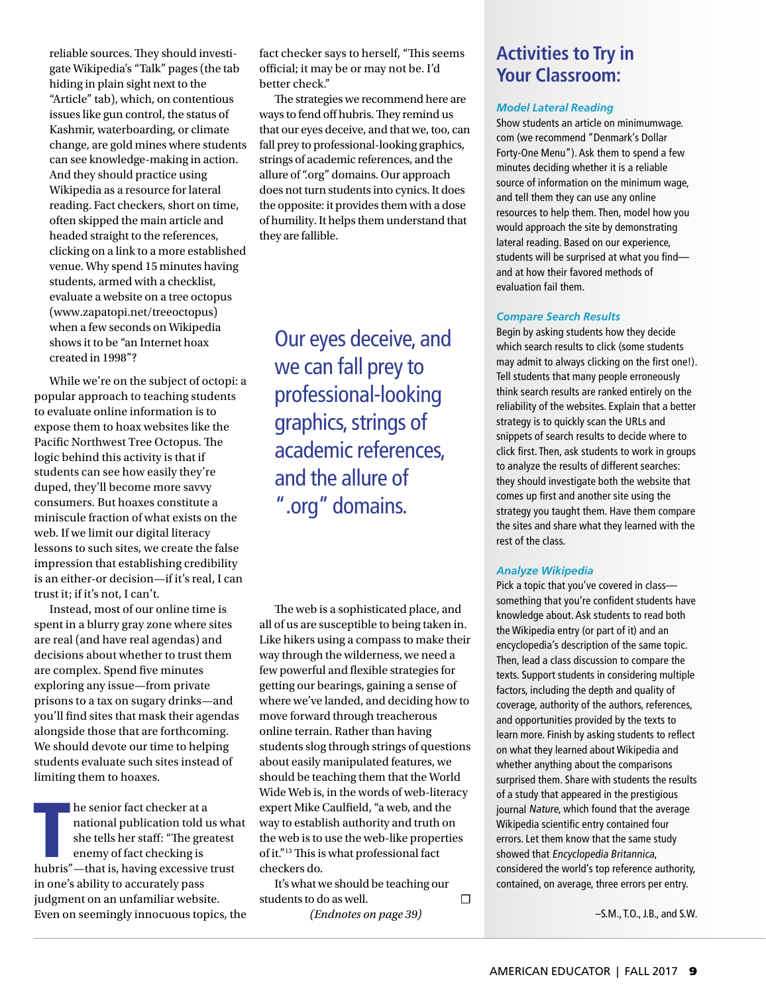reliable sources. They should investigate Wikipedia's "Talk" pages (the tab hiding in plain sight next to the "Article" tab), which, on contentious issues like gun control, the status of Kashmir, waterboarding, or climate change, are gold mines where students can see knowledge-making in action. And they should practice using Wikipedia as a resource for lateral reading. Fact checkers, short on time, often skipped the main article and headed straight to the references, clicking on a link to a more established venue. Why spend 15 minutes having students, armed with a checklist, evaluate a website on a tree octopus (www.zapatopi.net/treeoctopus) when a few seconds on Wikipedia shows it to be "an Internet hoax created in 1998"?

While we're on the subject of octopi: a popular approach to teaching students to evaluate online information is to expose them to hoax websites like the Pacific Northwest Tree Octopus. The logic behind this activity is that if students can see how easily they're duped, they'll become more savvy consumers. But hoaxes constitute a miniscule fraction of what exists on the web. If we limit our digital literacy lessons to such sites, we create the false impression that establishing credibility is an either-or decision—if it's real, I can trust it; if it's not, I can't.

Instead, most of our online time is spent in a blurry gray zone where sites are real (and have real agendas) and decisions about whether to trust them are complex. Spend five minutes exploring any issue—from private prisons to a tax on sugary drinks—and you'll find sites that mask their agendas alongside those that are forthcoming. We should devote our time to helping students evaluate such sites instead of limiting them to hoaxes.

he senior fact checker at a<br>national publication told us which<br>she tells her staff: "The greatest<br>enemy of fact checking is<br>hubris"—that is, having excessive trust he senior fact checker at a national publication told us what she tells her staff: "The greatest enemy of fact checking is in one's ability to accurately pass judgment on an unfamiliar website. Even on seemingly innocuous topics, the fact checker says to herself, "This seems official; it may be or may not be. I'd better check."

The strategies we recommend here are ways to fend off hubris. They remind us that our eyes deceive, and that we, too, can fall prey to professional-looking graphics, strings of academic references, and the allure of ".org" domains. Our approach does not turn students into cynics. It does the opposite: it provides them with a dose of humility. It helps them understand that they are fallible.

Our eyes deceive, and we can fall prey to professional-looking graphics, strings of academic references, and the allure of ".org" domains.

The web is a sophisticated place, and all of us are susceptible to being taken in. Like hikers using a compass to make their way through the wilderness, we need a few powerful and flexible strategies for getting our bearings, gaining a sense of where we've landed, and deciding how to move forward through treacherous online terrain. Rather than having students slog through strings of questions about easily manipulated features, we should be teaching them that the World Wide Web is, in the words of web-literacy expert Mike Caulfield, "a web, and the way to establish authority and truth on the web is to use the web-like properties of it."13 This is what professional fact checkers do.

It's what we should be teaching our students to do as well.  $\Box$ 

*(Endnotes on page 39)*

# **Activities to Try in Your Classroom:**

#### *Model Lateral Reading*

Show students an article on minimumwage. com (we recommend "Denmark's Dollar Forty-One Menu"). Ask them to spend a few minutes deciding whether it is a reliable source of information on the minimum wage, and tell them they can use any online resources to help them. Then, model how you would approach the site by demonstrating lateral reading. Based on our experience, students will be surprised at what you find and at how their favored methods of evaluation fail them.

#### *Compare Search Results*

Begin by asking students how they decide which search results to click (some students may admit to always clicking on the first one!). Tell students that many people erroneously think search results are ranked entirely on the reliability of the websites. Explain that a better strategy is to quickly scan the URLs and snippets of search results to decide where to click first. Then, ask students to work in groups to analyze the results of different searches: they should investigate both the website that comes up first and another site using the strategy you taught them. Have them compare the sites and share what they learned with the rest of the class.

#### *Analyze Wikipedia*

Pick a topic that you've covered in class something that you're confident students have knowledge about. Ask students to read both the Wikipedia entry (or part of it) and an encyclopedia's description of the same topic. Then, lead a class discussion to compare the texts. Support students in considering multiple factors, including the depth and quality of coverage, authority of the authors, references, and opportunities provided by the texts to learn more. Finish by asking students to reflect on what they learned about Wikipedia and whether anything about the comparisons surprised them. Share with students the results of a study that appeared in the prestigious journal Nature, which found that the average Wikipedia scientific entry contained four errors. Let them know that the same study showed that Encyclopedia Britannica, considered the world's top reference authority, contained, on average, three errors per entry.

–S.M., T.O., J.B., and S.W.